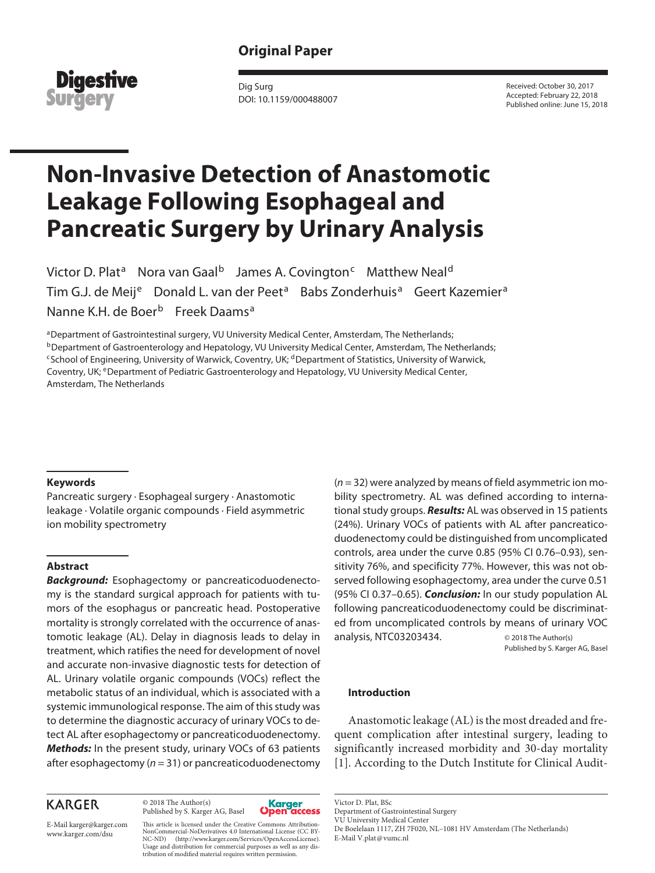# **Original Paper**



Dig Surg DOI: 10.1159/000488007 Received: October 30, 2017 Accepted: February 22, 2018 Published online: June 15, 2018

# **Non-Invasive Detection of Anastomotic Leakage Following Esophageal and Pancreatic Surgery by Urinary Analysis**

Victor D. Plat<sup>a</sup> Nora van Gaal<sup>b</sup> James A. Covington<sup>c</sup> Matthew Neal<sup>d</sup> Tim G.J. de Meij<sup>e</sup> Donald L. van der Peet<sup>a</sup> Babs Zonderhuis<sup>a</sup> Geert Kazemier<sup>a</sup> Nanne K.H. de Boer<sup>b</sup> Freek Daams<sup>a</sup>

aDepartment of Gastrointestinal surgery, VU University Medical Center, Amsterdam, The Netherlands; **bDepartment of Gastroenterology and Hepatology, VU University Medical Center, Amsterdam, The Netherlands;** <sup>c</sup>School of Engineering, University of Warwick, Coventry, UK; <sup>d</sup>Department of Statistics, University of Warwick, Coventry, UK; <sup>e</sup>Department of Pediatric Gastroenterology and Hepatology, VU University Medical Center, Amsterdam, The Netherlands

#### **Keywords**

Pancreatic surgery · Esophageal surgery · Anastomotic leakage · Volatile organic compounds · Field asymmetric ion mobility spectrometry

#### **Abstract**

*Background:* Esophagectomy or pancreaticoduodenectomy is the standard surgical approach for patients with tumors of the esophagus or pancreatic head. Postoperative mortality is strongly correlated with the occurrence of anastomotic leakage (AL). Delay in diagnosis leads to delay in treatment, which ratifies the need for development of novel and accurate non-invasive diagnostic tests for detection of AL. Urinary volatile organic compounds (VOCs) reflect the metabolic status of an individual, which is associated with a systemic immunological response. The aim of this study was to determine the diagnostic accuracy of urinary VOCs to detect AL after esophagectomy or pancreaticoduodenectomy. *Methods:* In the present study, urinary VOCs of 63 patients after esophagectomy (*n* = 31) or pancreaticoduodenectomy

# **KARGER**

© 2018 The Author(s) Published by S. Karger AG, Basel



E-Mail karger@karger.com www.karger.com/dsu

This article is licensed under the Creative Commons Attribution-NonCommercial-NoDerivatives 4.0 International License (CC BY-NC-ND) (http://www.karger.com/Services/OpenAccessLicense). Usage and distribution for commercial purposes as well as any distribution of modified material requires written permission.

(*n* = 32) were analyzed by means of field asymmetric ion mobility spectrometry. AL was defined according to international study groups. *Results:* AL was observed in 15 patients (24%). Urinary VOCs of patients with AL after pancreaticoduodenectomy could be distinguished from uncomplicated controls, area under the curve 0.85 (95% CI 0.76–0.93), sensitivity 76%, and specificity 77%. However, this was not observed following esophagectomy, area under the curve 0.51 (95% CI 0.37–0.65). *Conclusion:* In our study population AL following pancreaticoduodenectomy could be discriminated from uncomplicated controls by means of urinary VOC analysis, NTC03203434. © 2018 The Author(s)

Published by S. Karger AG, Basel

### **Introduction**

Anastomotic leakage (AL) is the most dreaded and frequent complication after intestinal surgery, leading to significantly increased morbidity and 30-day mortality [1]. According to the Dutch Institute for Clinical Audit-

Department of Gastrointestinal Surgery VU University Medical Center

De Boelelaan 1117, ZH 7F020, NL–1081 HV Amsterdam (The Netherlands)

E-Mail V.plat@vumc.nl

Victor D. Plat, BSc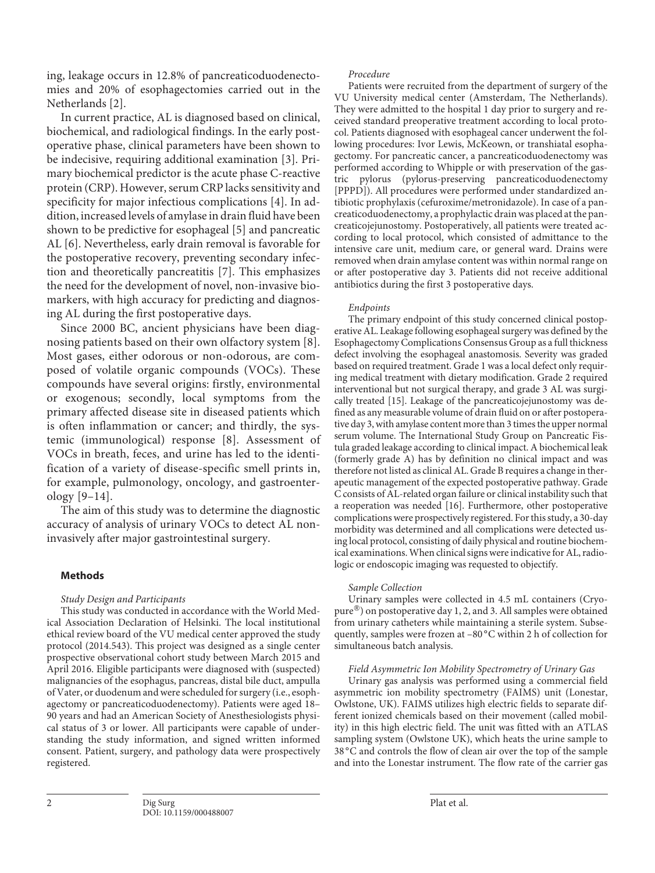ing, leakage occurs in 12.8% of pancreaticoduodenectomies and 20% of esophagectomies carried out in the Netherlands [2].

In current practice, AL is diagnosed based on clinical, biochemical, and radiological findings. In the early postoperative phase, clinical parameters have been shown to be indecisive, requiring additional examination [3]. Primary biochemical predictor is the acute phase C-reactive protein (CRP). However, serum CRP lacks sensitivity and specificity for major infectious complications [4]. In addition, increased levels of amylase in drain fluid have been shown to be predictive for esophageal [5] and pancreatic AL [6]. Nevertheless, early drain removal is favorable for the postoperative recovery, preventing secondary infection and theoretically pancreatitis [7]. This emphasizes the need for the development of novel, non-invasive biomarkers, with high accuracy for predicting and diagnosing AL during the first postoperative days.

Since 2000 BC, ancient physicians have been diagnosing patients based on their own olfactory system [8]. Most gases, either odorous or non-odorous, are composed of volatile organic compounds (VOCs). These compounds have several origins: firstly, environmental or exogenous; secondly, local symptoms from the primary affected disease site in diseased patients which is often inflammation or cancer; and thirdly, the systemic (immunological) response [8]. Assessment of VOCs in breath, feces, and urine has led to the identification of a variety of disease-specific smell prints in, for example, pulmonology, oncology, and gastroenterology [9–14].

The aim of this study was to determine the diagnostic accuracy of analysis of urinary VOCs to detect AL noninvasively after major gastrointestinal surgery.

## **Methods**

#### *Study Design and Participants*

This study was conducted in accordance with the World Medical Association Declaration of Helsinki. The local institutional ethical review board of the VU medical center approved the study protocol (2014.543). This project was designed as a single center prospective observational cohort study between March 2015 and April 2016. Eligible participants were diagnosed with (suspected) malignancies of the esophagus, pancreas, distal bile duct, ampulla of Vater, or duodenum and were scheduled for surgery (i.e., esophagectomy or pancreaticoduodenectomy). Patients were aged 18– 90 years and had an American Society of Anesthesiologists physical status of 3 or lower. All participants were capable of understanding the study information, and signed written informed consent. Patient, surgery, and pathology data were prospectively registered.

#### *Procedure*

Patients were recruited from the department of surgery of the VU University medical center (Amsterdam, The Netherlands). They were admitted to the hospital 1 day prior to surgery and received standard preoperative treatment according to local protocol. Patients diagnosed with esophageal cancer underwent the following procedures: Ivor Lewis, McKeown, or transhiatal esophagectomy. For pancreatic cancer, a pancreaticoduodenectomy was performed according to Whipple or with preservation of the gastric pylorus (pylorus-preserving pancreaticoduodenectomy [PPPD]). All procedures were performed under standardized antibiotic prophylaxis (cefuroxime/metronidazole). In case of a pancreaticoduodenectomy, a prophylactic drain was placed at the pancreaticojejunostomy. Postoperatively, all patients were treated according to local protocol, which consisted of admittance to the intensive care unit, medium care, or general ward. Drains were removed when drain amylase content was within normal range on or after postoperative day 3. Patients did not receive additional antibiotics during the first 3 postoperative days.

#### *Endpoints*

The primary endpoint of this study concerned clinical postoperative AL. Leakage following esophageal surgery was defined by the Esophagectomy Complications Consensus Group as a full thickness defect involving the esophageal anastomosis. Severity was graded based on required treatment. Grade 1 was a local defect only requiring medical treatment with dietary modification. Grade 2 required interventional but not surgical therapy, and grade 3 AL was surgically treated [15]. Leakage of the pancreaticojejunostomy was defined as any measurable volume of drain fluid on or after postoperative day 3, with amylase content more than 3 times the upper normal serum volume. The International Study Group on Pancreatic Fistula graded leakage according to clinical impact. A biochemical leak (formerly grade A) has by definition no clinical impact and was therefore not listed as clinical AL. Grade B requires a change in therapeutic management of the expected postoperative pathway. Grade C consists of AL-related organ failure or clinical instability such that a reoperation was needed [16]. Furthermore, other postoperative complications were prospectively registered. For this study, a 30-day morbidity was determined and all complications were detected using local protocol, consisting of daily physical and routine biochemical examinations. When clinical signs were indicative for AL, radiologic or endoscopic imaging was requested to objectify.

#### *Sample Collection*

Urinary samples were collected in 4.5 mL containers (Cryopure®) on postoperative day 1, 2, and 3. All samples were obtained from urinary catheters while maintaining a sterile system. Subsequently, samples were frozen at -80 °C within 2 h of collection for simultaneous batch analysis.

#### *Field Asymmetric Ion Mobility Spectrometry of Urinary Gas*

Urinary gas analysis was performed using a commercial field asymmetric ion mobility spectrometry (FAIMS) unit (Lonestar, Owlstone, UK). FAIMS utilizes high electric fields to separate different ionized chemicals based on their movement (called mobility) in this high electric field. The unit was fitted with an ATLAS sampling system (Owlstone UK), which heats the urine sample to 38 °C and controls the flow of clean air over the top of the sample and into the Lonestar instrument. The flow rate of the carrier gas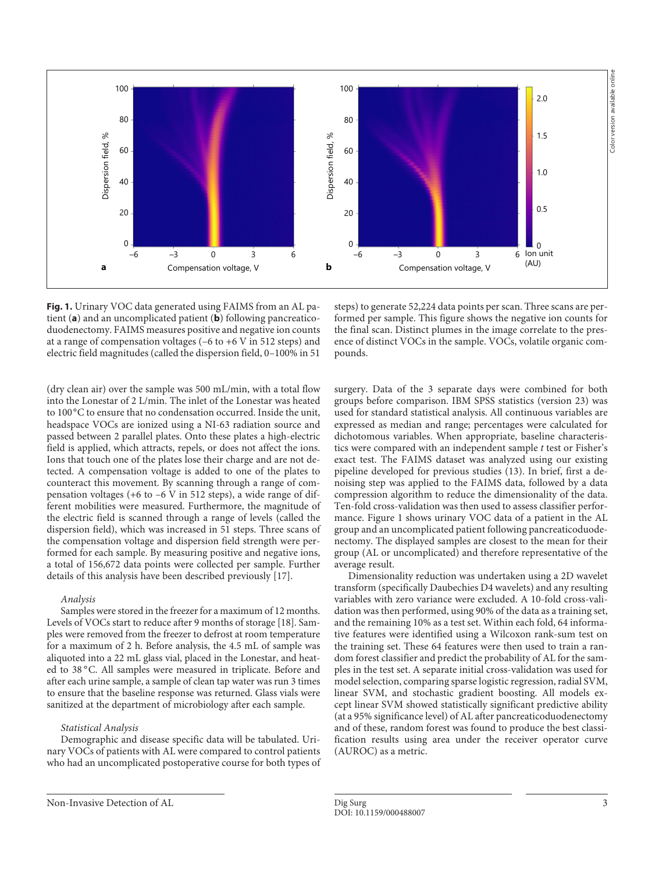

**Fig. 1.** Urinary VOC data generated using FAIMS from an AL patient (**a**) and an uncomplicated patient (**b**) following pancreaticoduodenectomy. FAIMS measures positive and negative ion counts at a range of compensation voltages (–6 to +6 V in 512 steps) and electric field magnitudes (called the dispersion field, 0–100% in 51

(dry clean air) over the sample was 500 mL/min, with a total flow into the Lonestar of 2 L/min. The inlet of the Lonestar was heated to 100°C to ensure that no condensation occurred. Inside the unit, headspace VOCs are ionized using a NI-63 radiation source and passed between 2 parallel plates. Onto these plates a high-electric field is applied, which attracts, repels, or does not affect the ions. Ions that touch one of the plates lose their charge and are not detected. A compensation voltage is added to one of the plates to counteract this movement. By scanning through a range of compensation voltages (+6 to –6 V in 512 steps), a wide range of different mobilities were measured. Furthermore, the magnitude of the electric field is scanned through a range of levels (called the dispersion field), which was increased in 51 steps. Three scans of the compensation voltage and dispersion field strength were performed for each sample. By measuring positive and negative ions, a total of 156,672 data points were collected per sample. Further details of this analysis have been described previously [17].

#### *Analysis*

Samples were stored in the freezer for a maximum of 12 months. Levels of VOCs start to reduce after 9 months of storage [18]. Samples were removed from the freezer to defrost at room temperature for a maximum of 2 h. Before analysis, the 4.5 mL of sample was aliquoted into a 22 mL glass vial, placed in the Lonestar, and heated to 38 °C. All samples were measured in triplicate. Before and after each urine sample, a sample of clean tap water was run 3 times to ensure that the baseline response was returned. Glass vials were sanitized at the department of microbiology after each sample.

#### *Statistical Analysis*

Demographic and disease specific data will be tabulated. Urinary VOCs of patients with AL were compared to control patients who had an uncomplicated postoperative course for both types of steps) to generate 52,224 data points per scan. Three scans are performed per sample. This figure shows the negative ion counts for the final scan. Distinct plumes in the image correlate to the presence of distinct VOCs in the sample. VOCs, volatile organic compounds.

surgery. Data of the 3 separate days were combined for both groups before comparison. IBM SPSS statistics (version 23) was used for standard statistical analysis. All continuous variables are expressed as median and range; percentages were calculated for dichotomous variables. When appropriate, baseline characteristics were compared with an independent sample *t* test or Fisher's exact test. The FAIMS dataset was analyzed using our existing pipeline developed for previous studies (13). In brief, first a denoising step was applied to the FAIMS data, followed by a data compression algorithm to reduce the dimensionality of the data. Ten-fold cross-validation was then used to assess classifier performance. Figure 1 shows urinary VOC data of a patient in the AL group and an uncomplicated patient following pancreaticoduodenectomy. The displayed samples are closest to the mean for their group (AL or uncomplicated) and therefore representative of the average result.

Dimensionality reduction was undertaken using a 2D wavelet transform (specifically Daubechies D4 wavelets) and any resulting variables with zero variance were excluded. A 10-fold cross-validation was then performed, using 90% of the data as a training set, and the remaining 10% as a test set. Within each fold, 64 informative features were identified using a Wilcoxon rank-sum test on the training set. These 64 features were then used to train a random forest classifier and predict the probability of AL for the samples in the test set. A separate initial cross-validation was used for model selection, comparing sparse logistic regression, radial SVM, linear SVM, and stochastic gradient boosting. All models except linear SVM showed statistically significant predictive ability (at a 95% significance level) of AL after pancreaticoduodenectomy and of these, random forest was found to produce the best classification results using area under the receiver operator curve (AUROC) as a metric.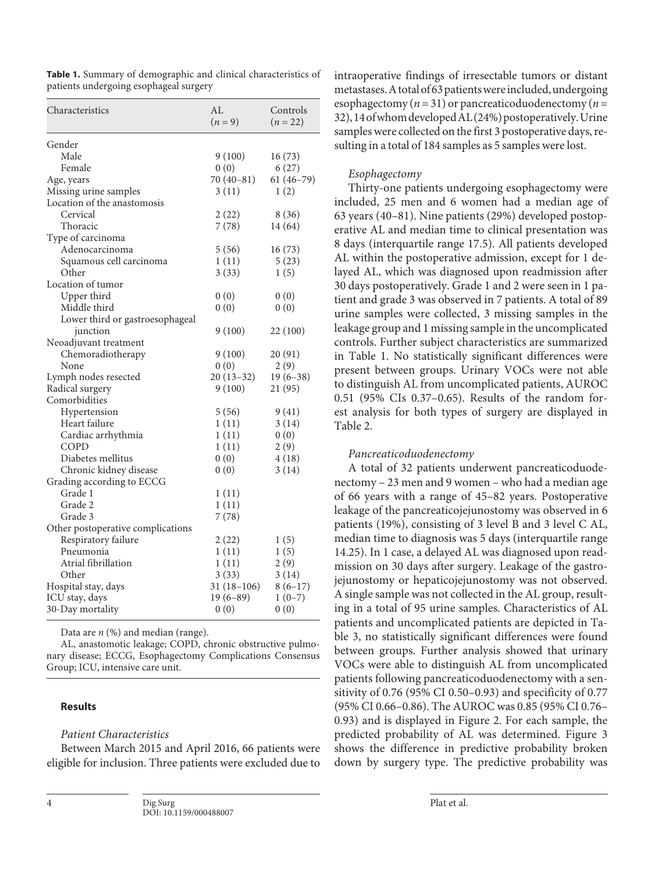| Characteristics                   | AI.<br>$(n = 9)$ | Controls<br>$(n = 22)$ |
|-----------------------------------|------------------|------------------------|
| Gender                            |                  |                        |
| Male                              | 9(100)           | 16(73)                 |
| Female                            | 0(0)             | 6(27)                  |
| Age, years                        | $70(40-81)$      | $61(46-79)$            |
| Missing urine samples             | 3(11)            | 1(2)                   |
| Location of the anastomosis       |                  |                        |
| Cervical                          | 2(22)            | 8 (36)                 |
| Thoracic                          | 7(78)            | 14 (64)                |
| Type of carcinoma                 |                  |                        |
| Adenocarcinoma                    | 5(56)            | 16(73)                 |
| Squamous cell carcinoma           | 1(11)            | 5(23)                  |
| Other                             | 3(33)            | 1(5)                   |
| Location of tumor                 |                  |                        |
| Upper third                       | 0(0)             | 0(0)                   |
| Middle third                      | 0(0)             | 0(0)                   |
| Lower third or gastroesophageal   |                  |                        |
| junction                          | 9(100)           | 22(100)                |
| Neoadjuvant treatment             |                  |                        |
| Chemoradiotherapy                 | 9(100)           | 20 (91)                |
| None                              | 0(0)             | 2 (9)                  |
| Lymph nodes resected              | $20(13-32)$      | $19(6-38)$             |
| Radical surgery                   | 9(100)           | 21 (95)                |
| Comorbidities                     |                  |                        |
| Hypertension                      | 5(56)            | 9(41)                  |
| Heart failure                     | 1(11)            | 3(14)                  |
| Cardiac arrhythmia                | 1(11)            | 0(0)                   |
| COPD                              | 1(11)            | 2(9)                   |
| Diabetes mellitus                 | 0(0)             | 4(18)                  |
| Chronic kidney disease            | 0(0)             | 3(14)                  |
| Grading according to ECCG         |                  |                        |
| Grade 1                           | 1(11)            |                        |
| Grade 2                           | 1(11)            |                        |
| Grade 3                           | 7(78)            |                        |
| Other postoperative complications |                  |                        |
| Respiratory failure               | 2(22)            | 1(5)                   |
| Pneumonia                         | 1(11)            | 1(5)                   |
| Atrial fibrillation               | 1(11)            | 2(9)                   |
| Other                             | 3(33)            | 3(14)                  |
| Hospital stay, days               | $31(18-106)$     | $8(6-17)$              |
| ICU stay, days                    | $19(6-89)$       | $1(0-7)$               |
| 30-Day mortality                  | 0(0)             | 0(0)                   |

**Table 1.** Summary of demographic and clinical characteristics of patients undergoing esophageal surgery

Data are *n* (%) and median (range).

AL, anastomotic leakage; COPD, chronic obstructive pulmonary disease; ECCG, Esophagectomy Complications Consensus Group; ICU, intensive care unit.

#### **Results**

#### *Patient Characteristics*

Between March 2015 and April 2016, 66 patients were eligible for inclusion. Three patients were excluded due to intraoperative findings of irresectable tumors or distant metastases. A total of 63 patients were included, undergoing esophagectomy (*n* = 31) or pancreaticoduodenectomy (*n* = 32), 14 of whom developed AL (24%) postoperatively. Urine samples were collected on the first 3 postoperative days, resulting in a total of 184 samples as 5 samples were lost.

#### *Esophagectomy*

Thirty-one patients undergoing esophagectomy were included, 25 men and 6 women had a median age of 63 years (40–81). Nine patients (29%) developed postoperative AL and median time to clinical presentation was 8 days (interquartile range 17.5). All patients developed AL within the postoperative admission, except for 1 delayed AL, which was diagnosed upon readmission after 30 days postoperatively. Grade 1 and 2 were seen in 1 patient and grade 3 was observed in 7 patients. A total of 89 urine samples were collected, 3 missing samples in the leakage group and 1 missing sample in the uncomplicated controls. Further subject characteristics are summarized in Table 1. No statistically significant differences were present between groups. Urinary VOCs were not able to distinguish AL from uncomplicated patients, AUROC 0.51 (95% CIs 0.37–0.65). Results of the random forest analysis for both types of surgery are displayed in Table 2.

#### *Pancreaticoduodenectomy*

A total of 32 patients underwent pancreaticoduodenectomy – 23 men and 9 women – who had a median age of 66 years with a range of 45–82 years. Postoperative leakage of the pancreaticojejunostomy was observed in 6 patients (19%), consisting of 3 level B and 3 level C AL, median time to diagnosis was 5 days (interquartile range 14.25). In 1 case, a delayed AL was diagnosed upon readmission on 30 days after surgery. Leakage of the gastrojejunostomy or hepaticojejunostomy was not observed. A single sample was not collected in the AL group, resulting in a total of 95 urine samples. Characteristics of AL patients and uncomplicated patients are depicted in Table 3, no statistically significant differences were found between groups. Further analysis showed that urinary VOCs were able to distinguish AL from uncomplicated patients following pancreaticoduodenectomy with a sensitivity of 0.76 (95% CI 0.50–0.93) and specificity of 0.77 (95% CI 0.66–0.86). The AUROC was 0.85 (95% CI 0.76– 0.93) and is displayed in Figure 2. For each sample, the predicted probability of AL was determined. Figure 3 shows the difference in predictive probability broken down by surgery type. The predictive probability was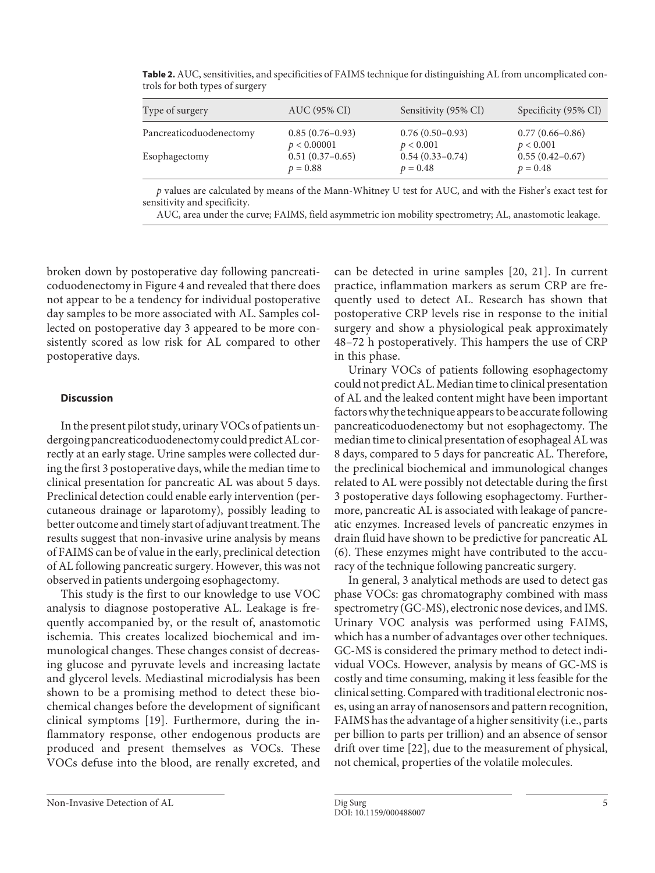| Type of surgery         | AUC (95% CI)      | Sensitivity (95% CI) | Specificity (95% CI) |
|-------------------------|-------------------|----------------------|----------------------|
| Pancreaticoduodenectomy | $0.85(0.76-0.93)$ | $0.76(0.50-0.93)$    | $0.77(0.66 - 0.86)$  |
|                         | p < 0.00001       | p < 0.001            | p < 0.001            |
| Esophagectomy           | $0.51(0.37-0.65)$ | $0.54(0.33 - 0.74)$  | $0.55(0.42 - 0.67)$  |
|                         | $p = 0.88$        | $p = 0.48$           | $p = 0.48$           |

**Table 2.** AUC, sensitivities, and specificities of FAIMS technique for distinguishing AL from uncomplicated controls for both types of surgery

*p* values are calculated by means of the Mann-Whitney U test for AUC, and with the Fisher's exact test for sensitivity and specificity.

AUC, area under the curve; FAIMS, field asymmetric ion mobility spectrometry; AL, anastomotic leakage.

broken down by postoperative day following pancreaticoduodenectomy in Figure 4 and revealed that there does not appear to be a tendency for individual postoperative day samples to be more associated with AL. Samples collected on postoperative day 3 appeared to be more consistently scored as low risk for AL compared to other postoperative days.

## **Discussion**

In the present pilot study, urinary VOCs of patients undergoing pancreaticoduodenectomy could predict AL correctly at an early stage. Urine samples were collected during the first 3 postoperative days, while the median time to clinical presentation for pancreatic AL was about 5 days. Preclinical detection could enable early intervention (percutaneous drainage or laparotomy), possibly leading to better outcome and timely start of adjuvant treatment. The results suggest that non-invasive urine analysis by means of FAIMS can be of value in the early, preclinical detection of AL following pancreatic surgery. However, this was not observed in patients undergoing esophagectomy.

This study is the first to our knowledge to use VOC analysis to diagnose postoperative AL. Leakage is frequently accompanied by, or the result of, anastomotic ischemia. This creates localized biochemical and immunological changes. These changes consist of decreasing glucose and pyruvate levels and increasing lactate and glycerol levels. Mediastinal microdialysis has been shown to be a promising method to detect these biochemical changes before the development of significant clinical symptoms [19]. Furthermore, during the inflammatory response, other endogenous products are produced and present themselves as VOCs. These VOCs defuse into the blood, are renally excreted, and

Urinary VOCs of patients following esophagectomy could not predict AL. Median time to clinical presentation of AL and the leaked content might have been important factors why the technique appears to be accurate following pancreaticoduodenectomy but not esophagectomy. The median time to clinical presentation of esophageal AL was 8 days, compared to 5 days for pancreatic AL. Therefore, the preclinical biochemical and immunological changes related to AL were possibly not detectable during the first 3 postoperative days following esophagectomy. Furthermore, pancreatic AL is associated with leakage of pancreatic enzymes. Increased levels of pancreatic enzymes in drain fluid have shown to be predictive for pancreatic AL (6). These enzymes might have contributed to the accuracy of the technique following pancreatic surgery.

In general, 3 analytical methods are used to detect gas phase VOCs: gas chromatography combined with mass spectrometry (GC-MS), electronic nose devices, and IMS. Urinary VOC analysis was performed using FAIMS, which has a number of advantages over other techniques. GC-MS is considered the primary method to detect individual VOCs. However, analysis by means of GC-MS is costly and time consuming, making it less feasible for the clinical setting. Compared with traditional electronic noses, using an array of nanosensors and pattern recognition, FAIMS has the advantage of a higher sensitivity (i.e., parts per billion to parts per trillion) and an absence of sensor drift over time [22], due to the measurement of physical, not chemical, properties of the volatile molecules.

can be detected in urine samples [20, 21]. In current practice, inflammation markers as serum CRP are frequently used to detect AL. Research has shown that postoperative CRP levels rise in response to the initial surgery and show a physiological peak approximately 48–72 h postoperatively. This hampers the use of CRP in this phase.

Non-Invasive Detection of AL Dig Surg 5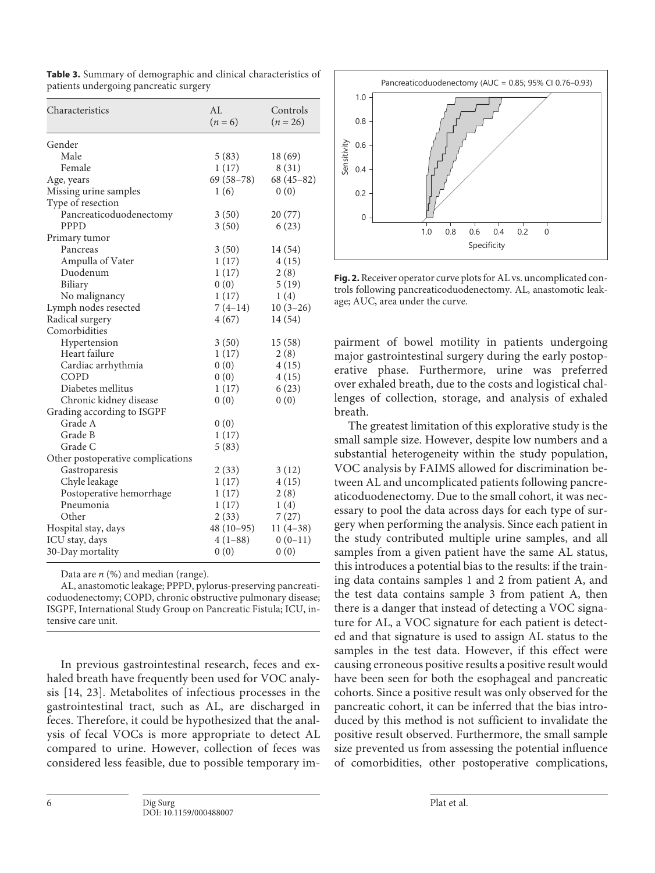| Characteristics                   | AL<br>$(n = 6)$ | Controls<br>$(n = 26)$ |
|-----------------------------------|-----------------|------------------------|
| Gender                            |                 |                        |
| Male                              | 5(83)           | 18 (69)                |
| Female                            | 1(17)           | 8(31)                  |
| Age, years                        | $69(58-78)$     | $68(45-82)$            |
| Missing urine samples             | 1(6)            | 0(0)                   |
| Type of resection                 |                 |                        |
| Pancreaticoduodenectomy           | 3(50)           | 20(77)                 |
| PPPD                              | 3(50)           | 6(23)                  |
| Primary tumor                     |                 |                        |
| Pancreas                          | 3(50)           | 14 (54)                |
| Ampulla of Vater                  | 1(17)           | 4(15)                  |
| Duodenum                          | 1(17)           | 2(8)                   |
| Biliary                           | 0(0)            | 5(19)                  |
| No malignancy                     | 1(17)           | 1(4)                   |
| Lymph nodes resected              | $7(4-14)$       | $10(3-26)$             |
| Radical surgery                   | 4(67)           | 14 (54)                |
| Comorbidities                     |                 |                        |
| Hypertension                      | 3(50)           | 15(58)                 |
| Heart failure                     | 1(17)           | 2(8)                   |
| Cardiac arrhythmia                | 0(0)            | 4(15)                  |
| COPD                              | 0(0)            | 4(15)                  |
| Diabetes mellitus                 | 1(17)           | 6(23)                  |
| Chronic kidney disease            | 0(0)            | 0(0)                   |
| Grading according to ISGPF        |                 |                        |
| Grade A                           | 0(0)            |                        |
| Grade B                           | 1(17)           |                        |
| Grade C                           | 5(83)           |                        |
| Other postoperative complications |                 |                        |
| Gastroparesis                     | 2(33)           | 3(12)                  |
| Chyle leakage                     | 1(17)           | 4(15)                  |
| Postoperative hemorrhage          | 1(17)           | 2(8)                   |
| Pneumonia                         | 1(17)           | 1(4)                   |
| Other                             | 2(33)           | 7(27)                  |
| Hospital stay, days               | $48(10-95)$     | $11(4-38)$             |
| ICU stay, days                    | $4(1-88)$       | $0(0-11)$              |
| 30-Day mortality                  | 0(0)            | 0(0)                   |

**Table 3.** Summary of demographic and clinical characteristics of patients undergoing pancreatic surgery

Data are *n* (%) and median (range).

AL, anastomotic leakage; PPPD, pylorus-preserving pancreaticoduodenectomy; COPD, chronic obstructive pulmonary disease; ISGPF, International Study Group on Pancreatic Fistula; ICU, intensive care unit.

In previous gastrointestinal research, feces and exhaled breath have frequently been used for VOC analysis [14, 23]. Metabolites of infectious processes in the gastrointestinal tract, such as AL, are discharged in feces. Therefore, it could be hypothesized that the analysis of fecal VOCs is more appropriate to detect AL compared to urine. However, collection of feces was considered less feasible, due to possible temporary im-



**Fig. 2.** Receiver operator curve plots for AL vs. uncomplicated controls following pancreaticoduodenectomy. AL, anastomotic leakage; AUC, area under the curve.

pairment of bowel motility in patients undergoing major gastrointestinal surgery during the early postoperative phase. Furthermore, urine was preferred over exhaled breath, due to the costs and logistical challenges of collection, storage, and analysis of exhaled breath.

The greatest limitation of this explorative study is the small sample size. However, despite low numbers and a substantial heterogeneity within the study population, VOC analysis by FAIMS allowed for discrimination between AL and uncomplicated patients following pancreaticoduodenectomy. Due to the small cohort, it was necessary to pool the data across days for each type of surgery when performing the analysis. Since each patient in the study contributed multiple urine samples, and all samples from a given patient have the same AL status, this introduces a potential bias to the results: if the training data contains samples 1 and 2 from patient A, and the test data contains sample 3 from patient A, then there is a danger that instead of detecting a VOC signature for AL, a VOC signature for each patient is detected and that signature is used to assign AL status to the samples in the test data. However, if this effect were causing erroneous positive results a positive result would have been seen for both the esophageal and pancreatic cohorts. Since a positive result was only observed for the pancreatic cohort, it can be inferred that the bias introduced by this method is not sufficient to invalidate the positive result observed. Furthermore, the small sample size prevented us from assessing the potential influence of comorbidities, other postoperative complications,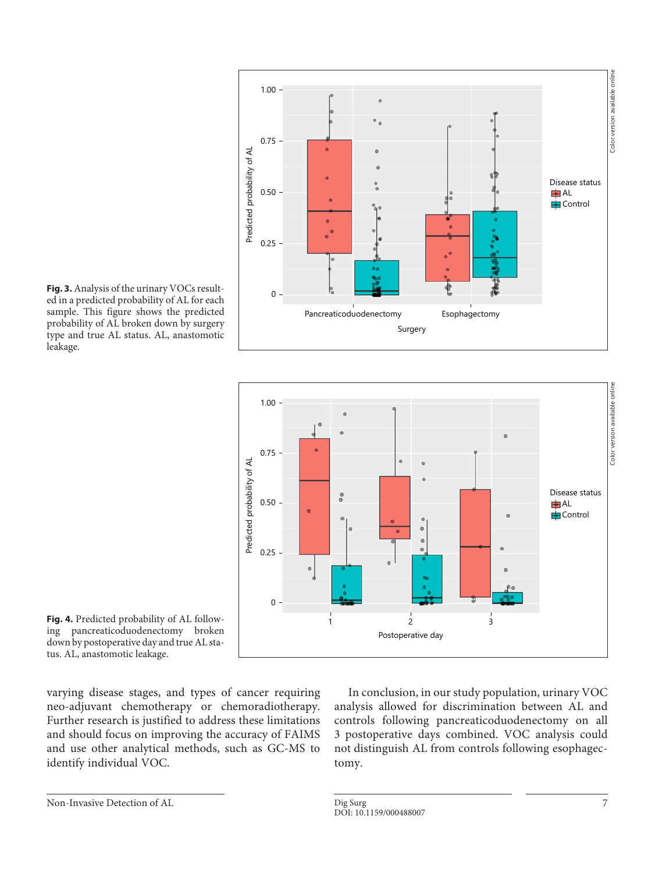





ing pancreaticoduodenectomy broken down by postoperative day and true AL status. AL, anastomotic leakage.

varying disease stages, and types of cancer requiring neo-adjuvant chemotherapy or chemoradiotherapy. Further research is justified to address these limitations and should focus on improving the accuracy of FAIMS and use other analytical methods, such as GC-MS to identify individual VOC.

In conclusion, in our study population, urinary VOC analysis allowed for discrimination between AL and controls following pancreaticoduodenectomy on all 3 postoperative days combined. VOC analysis could not distinguish AL from controls following esophagectomy.

Non-Invasive Detection of AL Dig Surg Dig Surg 7